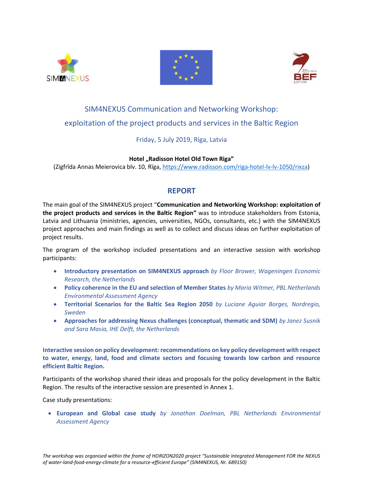





# SIM4NEXUS Communication and Networking Workshop: exploitation of the project products and services in the Baltic Region

# Friday, 5 July 2019, Riga, Latvia

## **Hotel "Radisson Hotel Old Town Riga"**

(Zigfrīda Annas Meierovica blv. 10, Rīga, [https://www.radisson.com/riga-hotel-lv-lv-1050/rixza\)](https://www.radisson.com/riga-hotel-lv-lv-1050/rixza)

# **REPORT**

The main goal of the SIM4NEXUS project "**Communication and Networking Workshop: exploitation of the project products and services in the Baltic Region"** was to introduce stakeholders from Estonia, Latvia and Lithuania (ministries, agencies, universities, NGOs, consultants, etc.) with the SIM4NEXUS project approaches and main findings as well as to collect and discuss ideas on further exploitation of project results.

The program of the workshop included presentations and an interactive session with workshop participants:

- **Introductory presentation on SIM4NEXUS approach** *by Floor Brower, Wageningen Economic Research, the Netherlands*
- **Policy coherence in the EU and selection of Member States** *by Maria Witmer, PBL Netherlands Environmental Assessment Agency*
- **Territorial Scenarios for the Baltic Sea Region 2050** *by Luciane Aguiar Borges, Nordregio, Sweden*
- **Approaches for addressing Nexus challenges (conceptual, thematic and SDM)** *by Janez Susnik and Sara Masia, IHE Delft, the Netherlands*

**Interactive session on policy development: recommendations on key policy development with respect to water, energy, land, food and climate sectors and focusing towards low carbon and resource efficient Baltic Region.**

Participants of the workshop shared their ideas and proposals for the policy development in the Baltic Region. The results of the interactive session are presented in Annex 1.

Case study presentations:

• **European and Global case study** *by Jonathan Doelman, PBL Netherlands Environmental Assessment Agency*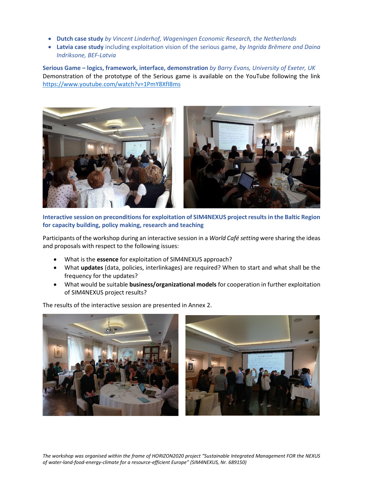- **Dutch case study** *by Vincent Linderhof, Wageningen Economic Research, the Netherlands*
- **Latvia case study** including exploitation vision of the serious game, *by Ingrida Brēmere and Daina Indriksone, BEF-Latvia*

**Serious Game – logics, framework, interface, demonstration** *by Barry Evans, University of Exeter, UK* Demonstration of the prototype of the Serious game is available on the YouTube following the link <https://www.youtube.com/watch?v=1PmY8XfI8ms>



**Interactive session on preconditions for exploitation of SIM4NEXUS project results in the Baltic Region for capacity building, policy making, research and teaching**

Participants of the workshop during an interactive session in a *World Café setting* were sharing the ideas and proposals with respect to the following issues:

- What is the **essence** for exploitation of SIM4NEXUS approach?
- What **updates** (data, policies, interlinkages) are required? When to start and what shall be the frequency for the updates?
- What would be suitable **business/organizational models** for cooperation in further exploitation of SIM4NEXUS project results?

The results of the interactive session are presented in Annex 2.

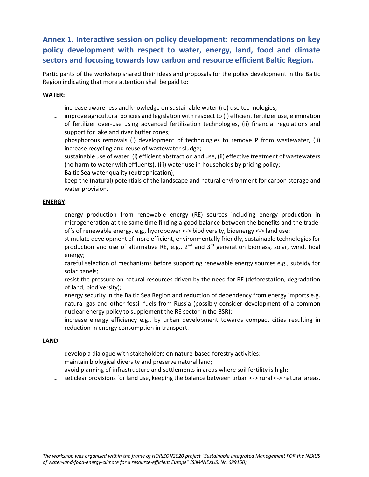# **Annex 1. Interactive session on policy development: recommendations on key policy development with respect to water, energy, land, food and climate sectors and focusing towards low carbon and resource efficient Baltic Region.**

Participants of the workshop shared their ideas and proposals for the policy development in the Baltic Region indicating that more attention shall be paid to:

#### **WATER:**

- ˗ increase awareness and knowledge on sustainable water (re) use technologies;
- ˗ improve agricultural policies and legislation with respect to (i) efficient fertilizer use, elimination of fertilizer over-use using advanced fertilisation technologies, (ii) financial regulations and support for lake and river buffer zones;
- ˗ phosphorous removals (i) development of technologies to remove P from wastewater, (ii) increase recycling and reuse of wastewater sludge;
- ˗ sustainable use of water: (i) efficient abstraction and use, (ii) effective treatment of wastewaters (no harm to water with effluents), (iii) water use in households by pricing policy;
- ˗ Baltic Sea water quality (eutrophication);
- ˗ keep the (natural) potentials of the landscape and natural environment for carbon storage and water provision.

#### **ENERGY:**

- ˗ energy production from renewable energy (RE) sources including energy production in microgeneration at the same time finding a good balance between the benefits and the tradeoffs of renewable energy, e.g., hydropower <-> biodiversity, bioenergy <-> land use;
- ˗ stimulate development of more efficient, environmentally friendly, sustainable technologies for production and use of alternative RE, e.g.,  $2^{nd}$  and  $3^{rd}$  generation biomass, solar, wind, tidal energy;
- ˗ careful selection of mechanisms before supporting renewable energy sources e.g., subsidy for solar panels;
- resist the pressure on natural resources driven by the need for RE (deforestation, degradation of land, biodiversity);
- ˗ energy security in the Baltic Sea Region and reduction of dependency from energy imports e.g. natural gas and other fossil fuels from Russia (possibly consider development of a common nuclear energy policy to supplement the RE sector in the BSR);
- ˗ increase energy efficiency e.g., by urban development towards compact cities resulting in reduction in energy consumption in transport.

## **LAND**:

- develop a dialogue with stakeholders on nature-based forestry activities;
- maintain biological diversity and preserve natural land;
- avoid planning of infrastructure and settlements in areas where soil fertility is high;
- set clear provisions for land use, keeping the balance between urban <-> rural <-> natural areas.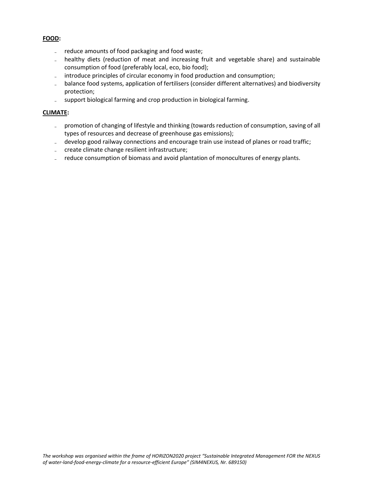#### **FOOD:**

- reduce amounts of food packaging and food waste;
- healthy diets (reduction of meat and increasing fruit and vegetable share) and sustainable consumption of food (preferably local, eco, bio food);
- introduce principles of circular economy in food production and consumption;
- ˗ balance food systems, application of fertilisers (consider different alternatives) and biodiversity protection;
- support biological farming and crop production in biological farming.

#### **CLIMATE:**

- promotion of changing of lifestyle and thinking (towards reduction of consumption, saving of all types of resources and decrease of greenhouse gas emissions);
- develop good railway connections and encourage train use instead of planes or road traffic;
- ˗ create climate change resilient infrastructure;
- reduce consumption of biomass and avoid plantation of monocultures of energy plants.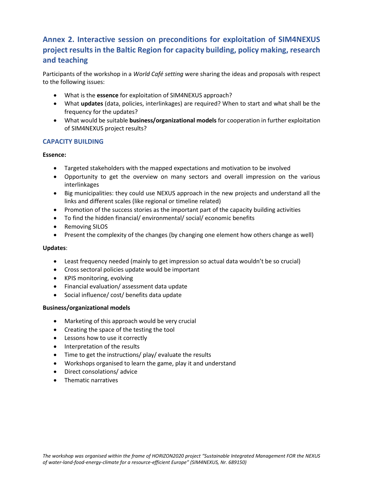# **Annex 2. Interactive session on preconditions for exploitation of SIM4NEXUS project results in the Baltic Region for capacity building, policy making, research and teaching**

Participants of the workshop in a *World Café setting* were sharing the ideas and proposals with respect to the following issues:

- What is the **essence** for exploitation of SIM4NEXUS approach?
- What **updates** (data, policies, interlinkages) are required? When to start and what shall be the frequency for the updates?
- What would be suitable **business/organizational models** for cooperation in further exploitation of SIM4NEXUS project results?

## **CAPACITY BUILDING**

#### **Essence:**

- Targeted stakeholders with the mapped expectations and motivation to be involved
- Opportunity to get the overview on many sectors and overall impression on the various interlinkages
- Big municipalities: they could use NEXUS approach in the new projects and understand all the links and different scales (like regional or timeline related)
- Promotion of the success stories as the important part of the capacity building activities
- To find the hidden financial/ environmental/ social/ economic benefits
- Removing SILOS
- Present the complexity of the changes (by changing one element how others change as well)

#### **Updates**:

- Least frequency needed (mainly to get impression so actual data wouldn't be so crucial)
- Cross sectoral policies update would be important
- KPIS monitoring, evolving
- Financial evaluation/ assessment data update
- Social influence/ cost/ benefits data update

#### **Business/organizational models**

- Marketing of this approach would be very crucial
- Creating the space of the testing the tool
- Lessons how to use it correctly
- Interpretation of the results
- Time to get the instructions/ play/ evaluate the results
- Workshops organised to learn the game, play it and understand
- Direct consolations/ advice
- Thematic narratives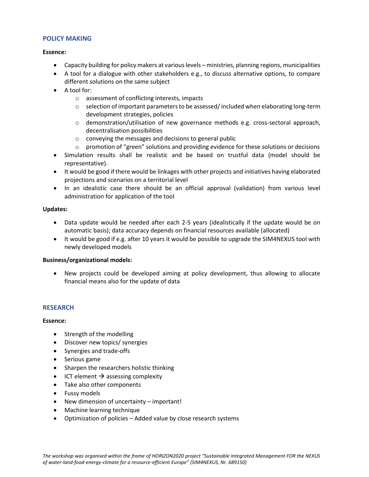#### **POLICY MAKING**

#### **Essence:**

- Capacity building for policy makers at various levels ministries, planning regions, municipalities
- A tool for a dialogue with other stakeholders e.g., to discuss alternative options, to compare different solutions on the same subject
- A tool for:
	- o assessment of conflicting interests, impacts
	- $\circ$  selection of important parameters to be assessed/included when elaborating long-term development strategies, policies
	- o demonstration/utilisation of new governance methods e.g. cross-sectoral approach, decentralisation possibilities
	- o conveying the messages and decisions to general public
	- $\circ$  promotion of "green" solutions and providing evidence for these solutions or decisions
- Simulation results shall be realistic and be based on trustful data (model should be representative).
- It would be good if there would be linkages with other projects and initiatives having elaborated projections and scenarios on a territorial level
- In an idealistic case there should be an official approval (validation) from various level administration for application of the tool

#### **Updates:**

- Data update would be needed after each 2-5 years (idealistically if the update would be on automatic basis); data accuracy depends on financial resources available (allocated)
- It would be good if e.g. after 10 years it would be possible to upgrade the SIM4NEXUS tool with newly developed models

#### **Business/organizational models:**

• New projects could be developed aiming at policy development, thus allowing to allocate financial means also for the update of data

#### **RESEARCH**

#### **Essence:**

- Strength of the modelling
- Discover new topics/ synergies
- Synergies and trade-offs
- Serious game
- Sharpen the researchers holistic thinking
- ICT element  $\rightarrow$  assessing complexity
- Take also other components
- Fussy models
- New dimension of uncertainty important!
- Machine learning technique
- Optimization of policies Added value by close research systems